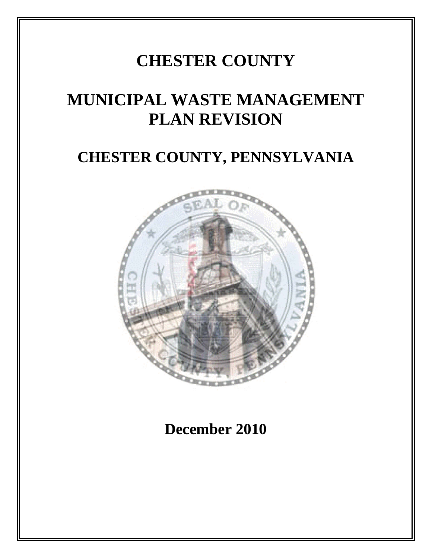## **CHESTER COUNTY**

## **MUNICIPAL WASTE MANAGEMENT PLAN REVISION**

## **CHESTER COUNTY, PENNSYLVANIA**



**December 2010**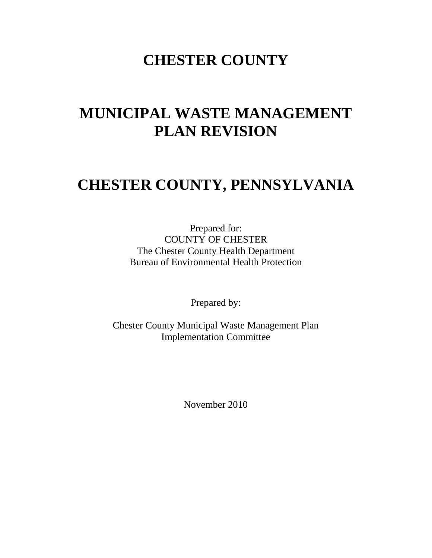## **CHESTER COUNTY**

## **MUNICIPAL WASTE MANAGEMENT PLAN REVISION**

## **CHESTER COUNTY, PENNSYLVANIA**

Prepared for: COUNTY OF CHESTER The Chester County Health Department Bureau of Environmental Health Protection

Prepared by:

Chester County Municipal Waste Management Plan Implementation Committee

November 2010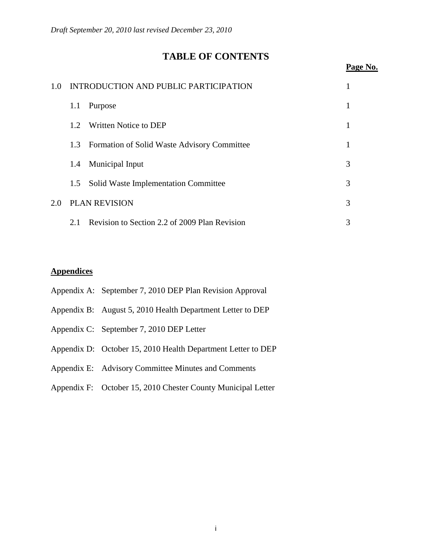#### **TABLE OF CONTENTS**

#### **Page No.**

| 1.0 |     | INTRODUCTION AND PUBLIC PARTICIPATION         |   |
|-----|-----|-----------------------------------------------|---|
|     | 1.1 | Purpose                                       |   |
|     | 1.2 | Written Notice to DEP                         |   |
|     | 1.3 | Formation of Solid Waste Advisory Committee   |   |
|     | 1.4 | Municipal Input                               | 3 |
|     | 1.5 | Solid Waste Implementation Committee          | 3 |
| 2.0 |     | <b>PLAN REVISION</b>                          | 3 |
|     | 2.1 | Revision to Section 2.2 of 2009 Plan Revision | 3 |

#### **Appendices**

| Appendix A: September 7, 2010 DEP Plan Revision Approval     |
|--------------------------------------------------------------|
| Appendix B: August 5, 2010 Health Department Letter to DEP   |
| Appendix C: September 7, 2010 DEP Letter                     |
| Appendix D: October 15, 2010 Health Department Letter to DEP |
| Appendix E: Advisory Committee Minutes and Comments          |
| Appendix F: October 15, 2010 Chester County Municipal Letter |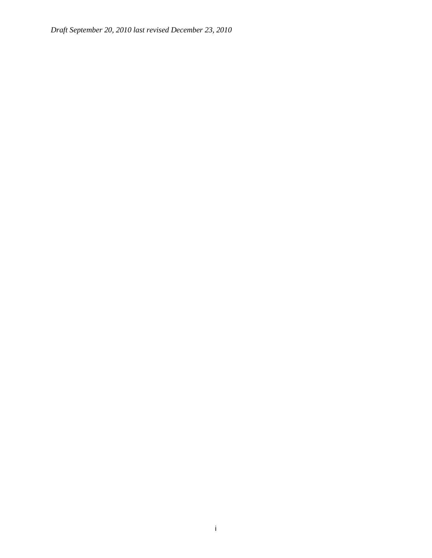*Draft September 20, 2010 last revised December 23, 2010*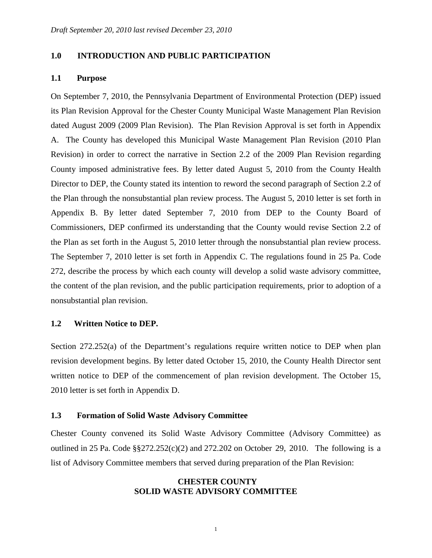#### **1.0 INTRODUCTION AND PUBLIC PARTICIPATION**

#### **1.1 Purpose**

On September 7, 2010, the Pennsylvania Department of Environmental Protection (DEP) issued its Plan Revision Approval for the Chester County Municipal Waste Management Plan Revision dated August 2009 (2009 Plan Revision). The Plan Revision Approval is set forth in Appendix A. The County has developed this Municipal Waste Management Plan Revision (2010 Plan Revision) in order to correct the narrative in Section 2.2 of the 2009 Plan Revision regarding County imposed administrative fees. By letter dated August 5, 2010 from the County Health Director to DEP, the County stated its intention to reword the second paragraph of Section 2.2 of the Plan through the nonsubstantial plan review process. The August 5, 2010 letter is set forth in Appendix B. By letter dated September 7, 2010 from DEP to the County Board of Commissioners, DEP confirmed its understanding that the County would revise Section 2.2 of the Plan as set forth in the August 5, 2010 letter through the nonsubstantial plan review process. The September 7, 2010 letter is set forth in Appendix C. The regulations found in 25 Pa. Code 272, describe the process by which each county will develop a solid waste advisory committee, the content of the plan revision, and the public participation requirements, prior to adoption of a nonsubstantial plan revision.

#### **1.2 Written Notice to DEP.**

Section 272.252(a) of the Department's regulations require written notice to DEP when plan revision development begins. By letter dated October 15, 2010, the County Health Director sent written notice to DEP of the commencement of plan revision development. The October 15, 2010 letter is set forth in Appendix D.

#### **1.3 Formation of Solid Waste Advisory Committee**

Chester County convened its Solid Waste Advisory Committee (Advisory Committee) as outlined in 25 Pa. Code  $\S$  $\S$ 272.252(c)(2) and 272.202 on October 29, 2010. The following is a list of Advisory Committee members that served during preparation of the Plan Revision:

#### **CHESTER COUNTY SOLID WASTE ADVISORY COMMITTEE**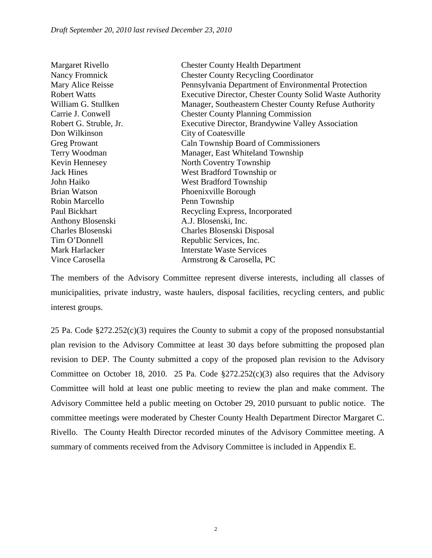| Margaret Rivello       | <b>Chester County Health Department</b>                  |  |  |  |  |
|------------------------|----------------------------------------------------------|--|--|--|--|
| Nancy Fromnick         | <b>Chester County Recycling Coordinator</b>              |  |  |  |  |
| Mary Alice Reisse      | Pennsylvania Department of Environmental Protection      |  |  |  |  |
| <b>Robert Watts</b>    | Executive Director, Chester County Solid Waste Authority |  |  |  |  |
| William G. Stullken    | Manager, Southeastern Chester County Refuse Authority    |  |  |  |  |
| Carrie J. Conwell      | <b>Chester County Planning Commission</b>                |  |  |  |  |
| Robert G. Struble, Jr. | Executive Director, Brandywine Valley Association        |  |  |  |  |
| Don Wilkinson          | City of Coatesville                                      |  |  |  |  |
| <b>Greg Prowant</b>    | Caln Township Board of Commissioners                     |  |  |  |  |
| Terry Woodman          | Manager, East Whiteland Township                         |  |  |  |  |
| Kevin Hennesey         | North Coventry Township                                  |  |  |  |  |
| <b>Jack Hines</b>      | West Bradford Township or                                |  |  |  |  |
| John Haiko             | West Bradford Township                                   |  |  |  |  |
| <b>Brian Watson</b>    | Phoenixville Borough                                     |  |  |  |  |
| Robin Marcello         | Penn Township                                            |  |  |  |  |
| Paul Bickhart          | Recycling Express, Incorporated                          |  |  |  |  |
| Anthony Blosenski      | A.J. Blosenski, Inc.                                     |  |  |  |  |
| Charles Blosenski      | Charles Blosenski Disposal                               |  |  |  |  |
| Tim O'Donnell          | Republic Services, Inc.                                  |  |  |  |  |
| Mark Harlacker         | <b>Interstate Waste Services</b>                         |  |  |  |  |
| Vince Carosella        | Armstrong & Carosella, PC                                |  |  |  |  |

The members of the Advisory Committee represent diverse interests, including all classes of municipalities, private industry, waste haulers, disposal facilities, recycling centers, and public interest groups.

25 Pa. Code §272.252(c)(3) requires the County to submit a copy of the proposed nonsubstantial plan revision to the Advisory Committee at least 30 days before submitting the proposed plan revision to DEP. The County submitted a copy of the proposed plan revision to the Advisory Committee on October 18, 2010. 25 Pa. Code  $\S272.252(c)(3)$  also requires that the Advisory Committee will hold at least one public meeting to review the plan and make comment. The Advisory Committee held a public meeting on October 29, 2010 pursuant to public notice. The committee meetings were moderated by Chester County Health Department Director Margaret C. Rivello. The County Health Director recorded minutes of the Advisory Committee meeting. A summary of comments received from the Advisory Committee is included in Appendix E.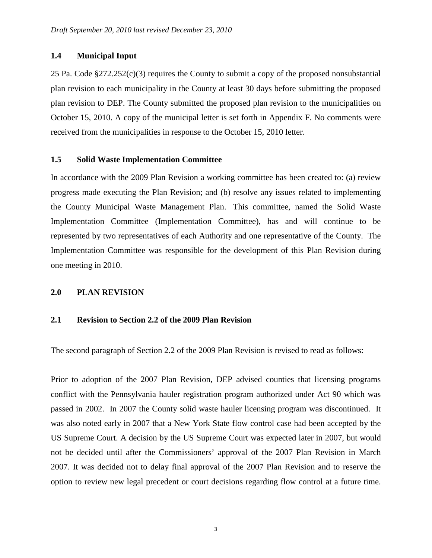#### **1.4 Municipal Input**

25 Pa. Code §272.252(c)(3) requires the County to submit a copy of the proposed nonsubstantial plan revision to each municipality in the County at least 30 days before submitting the proposed plan revision to DEP. The County submitted the proposed plan revision to the municipalities on October 15, 2010. A copy of the municipal letter is set forth in Appendix F. No comments were received from the municipalities in response to the October 15, 2010 letter.

#### **1.5 Solid Waste Implementation Committee**

In accordance with the 2009 Plan Revision a working committee has been created to: (a) review progress made executing the Plan Revision; and (b) resolve any issues related to implementing the County Municipal Waste Management Plan. This committee, named the Solid Waste Implementation Committee (Implementation Committee), has and will continue to be represented by two representatives of each Authority and one representative of the County. The Implementation Committee was responsible for the development of this Plan Revision during one meeting in 2010.

#### **2.0 PLAN REVISION**

#### **2.1 Revision to Section 2.2 of the 2009 Plan Revision**

The second paragraph of Section 2.2 of the 2009 Plan Revision is revised to read as follows:

Prior to adoption of the 2007 Plan Revision, DEP advised counties that licensing programs conflict with the Pennsylvania hauler registration program authorized under Act 90 which was passed in 2002. In 2007 the County solid waste hauler licensing program was discontinued. It was also noted early in 2007 that a New York State flow control case had been accepted by the US Supreme Court. A decision by the US Supreme Court was expected later in 2007, but would not be decided until after the Commissioners' approval of the 2007 Plan Revision in March 2007. It was decided not to delay final approval of the 2007 Plan Revision and to reserve the option to review new legal precedent or court decisions regarding flow control at a future time.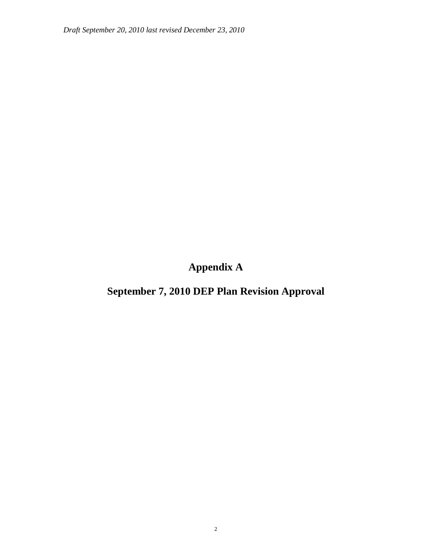**Appendix A**

**September 7, 2010 DEP Plan Revision Approval**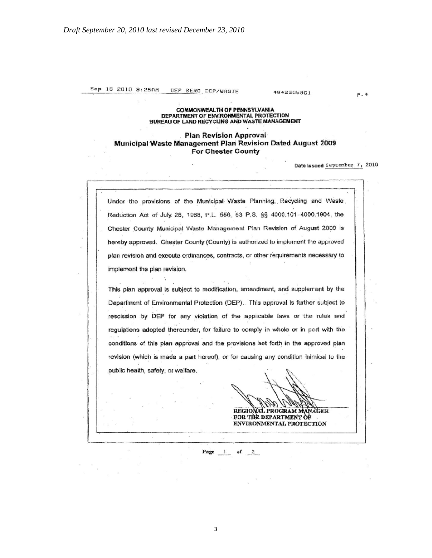#### Sep 16 2010 9:25AM DEP SERO ECP/WHSTE

#### 4842505961

# COMMONWEALTH OF PENNSYLVANIA<br>DEPARTMENT OF ENVIRONMENTAL PROTECTION<br>BUREAU OF LAND RECYCLING AND WASTE MANAGEMENT

#### Plan Revision Approval<br>Municipal Waste Management Plan Revision Dated August 2009 For Chester County

÷.

Date Issued September 7, 2010

 $F - 4$ 

|                                    | Under the provisions of the Municipal Waste Planning, Recycling and Waste.           |
|------------------------------------|--------------------------------------------------------------------------------------|
|                                    | Reduction Act of July 28, 1988, P.L. 556, 53 P.S. §§ 4000.101-4000.1904, the         |
|                                    | Chester County Municipal Waste Management Plan Revision of August 2009 is            |
|                                    | hereby approved. Chester County (County) is authorized to implement the approved     |
|                                    | plan revision and execute ordinances, contracts, or other requirements necessary to  |
| implement the plan revision.       |                                                                                      |
|                                    |                                                                                      |
|                                    | This plan approval is subject to modification, amendment, and supplement by the      |
|                                    | Department of Environmental Protection (DEP). This approval is further subject to    |
|                                    | rescission by DEP for any violation of the applicable laws or the rules and          |
|                                    | regulations adopted thereunder, for failure to comply in whole or in part with the   |
|                                    | conditions of this plan approval and the provisions set forth in the approved plan   |
|                                    | revision (which is made a part hereof), or for causing any condition inimical to the |
| oublic health, safety, or welfare. |                                                                                      |
|                                    |                                                                                      |
|                                    |                                                                                      |
|                                    |                                                                                      |
|                                    |                                                                                      |
|                                    | VIRONMENTAL PROTECTION                                                               |

Page  $1$  of  $2$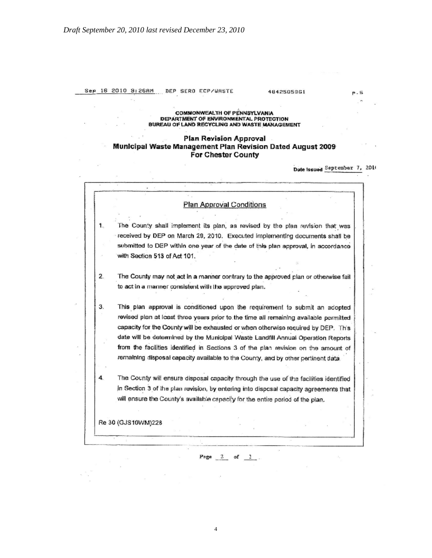cars.

 $\epsilon$ 

 $\frac{1}{2} \left( \begin{array}{cc} 0 \\ 0 \end{array} \right)$ 

୍

 $\mathcal{R}^{\mu}$ 

J.

#### Sep 16 2010 9:26AM DEP SERO ECP/WASTE

#### 4842505961

# COMMONWEALTH OF PENNSYLVANIA<br>DEPARTMENT OF ENVIRONMENTAL PROTECTION<br>BUREAU OF LAND RECYCLING AND WASTE MANAGEMENT

# Plan Revision Approval<br>Municipal Waste Management Plan Revision Dated August 2009<br>For Chester County

Date Issued September 7, 2014

 $\alpha_{\rm e}$ 

p. 5

 $\overline{a}$ 

| 1. | Plan Approval Conditions                                                                                                                                                                                                                                                                                                                                                                                                                                                                                                 |
|----|--------------------------------------------------------------------------------------------------------------------------------------------------------------------------------------------------------------------------------------------------------------------------------------------------------------------------------------------------------------------------------------------------------------------------------------------------------------------------------------------------------------------------|
|    |                                                                                                                                                                                                                                                                                                                                                                                                                                                                                                                          |
|    | The County shall implement its plan, as revised by the plan revision that was<br>received by DEP on March 29, 2010. Executed implementing documents shall be<br>submitted to DEP within one year of the date of this plan approval, in accordance<br>with Section 513 of Act 101.                                                                                                                                                                                                                                        |
|    |                                                                                                                                                                                                                                                                                                                                                                                                                                                                                                                          |
| 2. | The County may not act in a manner contrary to the approved plan or otherwise fail<br>to act in a manner consistent with the approved plan.                                                                                                                                                                                                                                                                                                                                                                              |
| З. | This plan approval is conditioned upon the requirement to submit an adopted<br>revised plan at least three years prior to the time all remaining available permitted<br>capacity for the County will be exhausted or when otherwise required by DEP. This<br>date will be determined by the Municipal Waste Landfill Annual Operation Reports<br>from the facilities identified in Sections 3 of the plan revision on the amount of<br>remaining disposal capacity available to the County, and by other pertinent data. |
| 4. | The County will ensure disposal capacity through the use of the facilities identified<br>in Section 3 of the plan revision, by entering into disposal capacity agreements that<br>will ensure the County's available capacity for the entire period of the plan.                                                                                                                                                                                                                                                         |

Page  $2$  of  $2$ .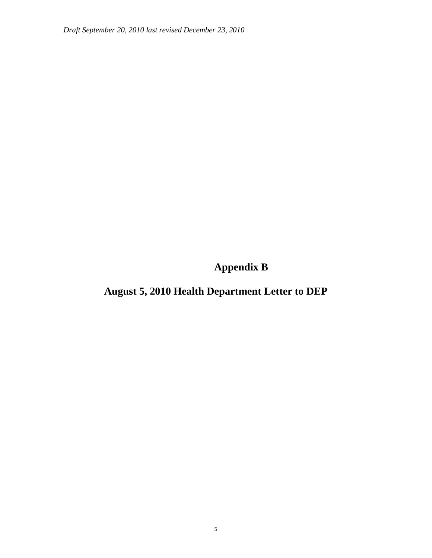**Appendix B**

**August 5, 2010 Health Department Letter to DEP**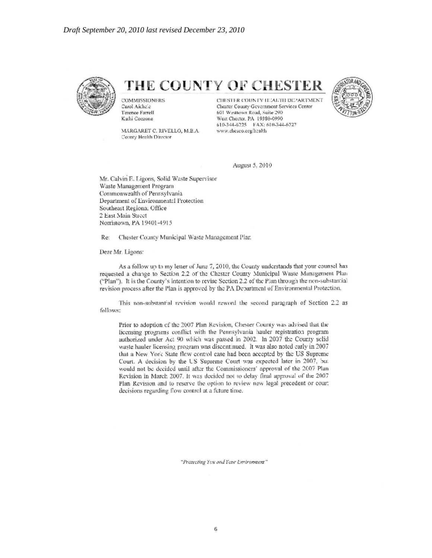

### THE COUNTY OF CHESTER

COMMISSIONERS Carol Aichele Terence Farrell Kathi Cozzone

MARGARET C. RIVELLO, M.B.A. County Health Director

CHESTER COUNTY HEALTH DEPARTMENT Chester County Gevernment Services Center 601 Westtown Road, Suite 290. West Chester, PA 19380-0990 610-344-6225 FAX: 610-344-6727 www.chesco.org/hoalth



August 5, 2010

Mr. Calvin E. Ligons, Solid Waste Supervisor Waste Management Program Commonwealth of Pennsylvania Department of Environmental Protection Southeast Regional Office 2 East Main Street Norristown, PA 19401-4915

Re: Chester County Municipal Waste Management Plar.

Dear Mr. Ligons:

As a follow up to my letter of June 7, 2010, the County understands that your counsel has requested a change to Section 2.2 of the Chester County Municipal Waste Management Plan ("Plan"). It is the County's intention to revise Section 2.2 of the Plan through the nen-substantial revision process after the Plan is approved by the PA Department of Environmental Protection.

This non-substantial revision would reword the second paragraph of Section 2.2 as follows:

Prior to adoption of the 2007 Plan Revision, Chester County was advised that the licensing programs conflict with the Pennsylvania hauler registration program authorized under Act 90 which was passed in 2002. In 2007 the County solid waste hauler licensing program was discontinued. It was also noted carly in 2007 that a New York State flow control case had been accepted by the US Supreme Court. A decision by the US Supreme Court was expected later in 2007, but would not be decided until after the Commissioners' approval of the 2007 Plan Revision in March 2007. It was decided not to delay final approval of the 2007 Plan Revision and to reserve the option to review new legal precedent or court decisions regarding flow control at a future time.

"Protecting You and Your Environment"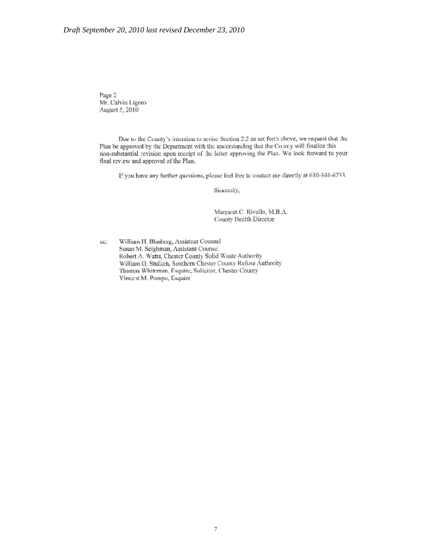Page 2 Mr. Calvin Ligons August 5, 2010

Due to the County's intention to revise Section 2.2 as set forth above, we request that the Plan be approved by the Department with the understanding that the County will finalize this non-substantial revision upon receipt of the letter approving the Plan. We look forward to your final review and approval of the Plan.

If you have any further questions, please feel free to contact me directly at 610-344-6233.

Sincerely,

Margaret C. Rivello, M.B.A. County Health Director

William H. Blasberg, Assistant Counsel  $\infty$ : Susan M. Seighman, Assistant Counsel Robert A. Watts, Chester County Solid Waste Authority William G. Stulken, Southern Chester County Refuse Authority Thomas Whiteman, Esquire, Solicitor, Chester County Vincent M. Pompo, Esquire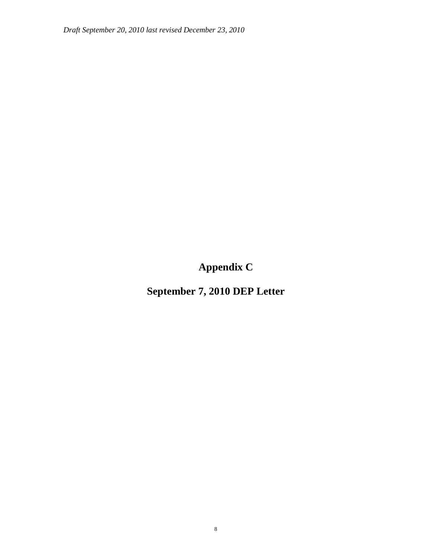**Appendix C**

**September 7, 2010 DEP Letter**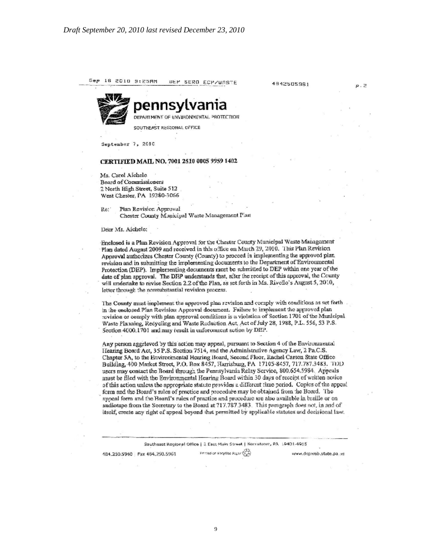Sep 16 2010 9:25AM UEP SERO ECP/URSTE

4942505981

 $p.2$ 



September 7, 2010

#### CERTIFIED MAIL NO. 7001 2510 0005 9959 1402

Ms. Carol Aichele Board of Commissioners 2 North High Street, Suite 512 West Chester, PA 19380-3066

Plan Revision Approval Re: Chester County Manicipal Waste Management Plan

Dear Ms. Aichele:

Enclosed is a Plan Revision Approval for the Chester County Municipal Waste Management Plan dated August 2009 and received in this office on March 29, 2010. This Plan Revision Approval authorizes Chester County (County) to proceed in implementing the approved plan. revision and in submitting the implementing documents to the Department of Environmental Protection (DEP). Implementing documents must be submitted to DEP within one year of the date of plan approval. The DEP understands that, after the receipt of this approval, the County will underlake to revise Section 2.2 of the Plan, as set forth in Ms. Rivello's August 5, 2010, letter through the nonsubstantial revision process.

The County must implement the approved plan revision and comply with couditions as set forth. in the enclosed Plan Revision Approval document. Failure to implement the approved plan revision or comply with plan approval conditions is a violation of Section 1701 of the Municipal Waste Planning, Recycling and Waste Roduction Act, Act of July 28, 1988, P.L. 556, 53 P.S. Section 4000.1701 and may result in enforcement action by DEP.

Any person aggrieved by this action may appeal, pursuant to Section 4 of the Environmental Hearing Board Act, 35 P.S. Section 7514, and the Administrative Agency Law, 2 Pa.C.S. Chapter 5A, to the Environmental Hearing Board, Second Floor, Rachel Carson State Office Building, 400 Market Street, P.O. Box 8457, Harrisburg, PA 17105-8457, 717.787.3483. TDD users may contact the Board through the Pennsylvania Relay Service, 800.654.5984. Appeals must be filed with the Environmental Hearing Board within 30 days of receipt of written notice of this action unless the appropriate statute provides a different time period. Copies of the appeal form and the Board's rules of practice and procedure may be obtained from the Board. The appeal form and the Board's rules of practice and procedure are also available in braille or on audiotape from the Secretary to the Board at 717.787.3483. This paragraph does not, in and of itself, create any right of appeal beyond that permitted by applicable statutes and decisional law.

Southoast Regional Office | 3 East Main Street | Norratown, PA 19401-4915

4B4.250.5960 | Fax 484.250.5961

Printed on Kerykles Roger (CD)

www.depweb.state.pa.us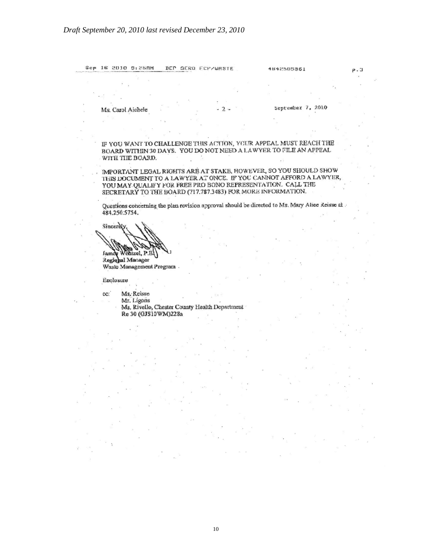|           | Sep 16 2010 9:25AM  |                                                                                                                                                                                                | DEP SERG ECP/WRSTE |        | 4842505961 |                   | p. 3 |
|-----------|---------------------|------------------------------------------------------------------------------------------------------------------------------------------------------------------------------------------------|--------------------|--------|------------|-------------------|------|
|           |                     |                                                                                                                                                                                                |                    |        |            |                   |      |
|           |                     |                                                                                                                                                                                                |                    |        |            |                   |      |
|           |                     |                                                                                                                                                                                                |                    |        |            |                   |      |
|           |                     |                                                                                                                                                                                                |                    | $-2 -$ |            | September 7, 2010 |      |
|           | Ms. Carol Aichele   |                                                                                                                                                                                                |                    |        |            |                   |      |
|           |                     |                                                                                                                                                                                                |                    |        |            |                   |      |
|           |                     |                                                                                                                                                                                                |                    |        |            |                   |      |
|           |                     |                                                                                                                                                                                                |                    |        |            |                   |      |
|           |                     | IF YOU WANT TO CHALLENGE THIS ACTION, YOUR APPEAL MUST REACH THE                                                                                                                               |                    |        |            |                   |      |
|           |                     | BOARD WITHIN 30 DAYS. YOU DO NOT NEED A LAWYER TO FILE AN APPEAL                                                                                                                               |                    |        |            |                   |      |
|           | WITH THE BOARD.     |                                                                                                                                                                                                |                    |        |            |                   |      |
|           |                     | IMPORTANT LEGAL RIGHTS ARE AT STAKE, HOWEVER, SO YOU SHOULD SHOW                                                                                                                               |                    |        |            |                   |      |
|           |                     | THIS DOCUMENT TO A LAWYER AT ONCE. IF YOU CANNOT AFFORD A LAWYER,<br>YOU MAY QUALIFY FOR FREE PRO BONO REFRESENTATION. CALL THE<br>SECRETARY TO THE BOARD (717.787.3483) FOR MORE INFORMATION. |                    |        |            |                   |      |
|           |                     | Questions concerning the plan revision approval should be directed to Ms. Mary Alice Reisse at .                                                                                               |                    |        |            |                   |      |
|           | 484.250.5754.       |                                                                                                                                                                                                |                    |        |            |                   |      |
|           |                     |                                                                                                                                                                                                |                    |        |            |                   |      |
| Sincerent |                     |                                                                                                                                                                                                |                    |        |            |                   |      |
|           |                     |                                                                                                                                                                                                |                    |        |            |                   |      |
|           |                     |                                                                                                                                                                                                |                    |        |            |                   |      |
|           | James Wentzel, P.E. |                                                                                                                                                                                                |                    |        |            |                   |      |
|           | Regional Manager    |                                                                                                                                                                                                |                    |        |            |                   |      |
|           |                     | Waste Management Program.                                                                                                                                                                      |                    |        |            |                   |      |
|           |                     |                                                                                                                                                                                                |                    |        |            |                   |      |
| Enclosure |                     |                                                                                                                                                                                                |                    |        |            |                   |      |
|           |                     |                                                                                                                                                                                                |                    |        |            |                   |      |
| cc:       | Ms. Reisse          |                                                                                                                                                                                                |                    |        |            |                   |      |
|           | Mr. Ligons          |                                                                                                                                                                                                |                    |        |            |                   |      |
|           |                     | Ms. Rivello, Chester County Health Department<br>Re 30 (GJS10WM)228a                                                                                                                           |                    |        |            |                   |      |
|           |                     |                                                                                                                                                                                                |                    |        |            |                   |      |
|           |                     |                                                                                                                                                                                                |                    |        |            |                   |      |
|           |                     |                                                                                                                                                                                                |                    |        |            |                   |      |
|           |                     |                                                                                                                                                                                                |                    |        |            |                   |      |
|           |                     |                                                                                                                                                                                                |                    |        |            |                   |      |
|           |                     |                                                                                                                                                                                                |                    |        |            |                   |      |
|           |                     |                                                                                                                                                                                                |                    |        |            |                   |      |
|           |                     |                                                                                                                                                                                                |                    |        |            |                   |      |
|           |                     |                                                                                                                                                                                                |                    |        |            |                   |      |
|           |                     |                                                                                                                                                                                                |                    |        |            |                   |      |
|           |                     |                                                                                                                                                                                                |                    |        |            |                   |      |
|           |                     |                                                                                                                                                                                                |                    |        |            |                   |      |
|           |                     |                                                                                                                                                                                                |                    |        |            |                   |      |
|           |                     |                                                                                                                                                                                                |                    |        |            |                   |      |
|           |                     |                                                                                                                                                                                                |                    |        |            |                   |      |
|           |                     |                                                                                                                                                                                                |                    |        |            |                   |      |
|           |                     |                                                                                                                                                                                                |                    |        |            |                   |      |
|           |                     |                                                                                                                                                                                                |                    |        |            |                   |      |
|           |                     |                                                                                                                                                                                                |                    |        |            |                   |      |
|           |                     |                                                                                                                                                                                                |                    |        |            |                   |      |
|           |                     |                                                                                                                                                                                                |                    |        |            |                   |      |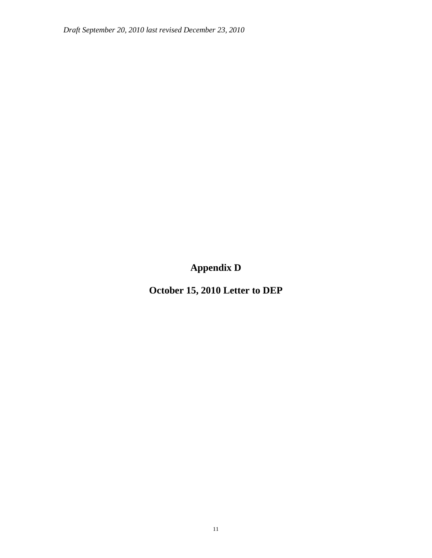**Appendix D**

**October 15, 2010 Letter to DEP**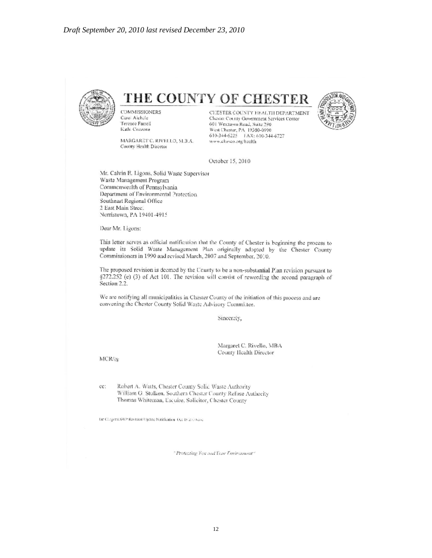

## THE COUNTY OF CHESTER

**COMMISSIONERS** Carol Aichèle Terence Farrell Kath: Cozzone

MARGARET C. RIVELLO, M.3.A. County Health Director

CLESTER COUNTY HEALTH DEPARTMENT Chester County Government Services Center 601 Westtown Road, Suite 290 West Chester, PA 19380-0990 610-344-6225 TAX: 610-344-6727 www.chesco.org/health



October 15, 2010

Mr. Calvin E. Ligons, Solid Waste Supervisor Waste Management Program Commenwealth of Pennsylvania Department of Environmental Protection Southeast Regional Office 2 East Main Stree. Nerristown, PA 19401-4915

Dear Mr. Ligons:

This letter serves as official notification that the County of Chester is beginning the process to update its Solid Waste Management Plan originally adopted by the Chester County Commissioners in 1990 and revised March, 2007 and September, 2010.

The proposed revision is deemed by the County to be a non-substantial Plan revision pursuant to §272.252 (e) (3) of Act 101. The revision will consist of rewording the second paragraph of Section 2.2.

We are notifying all municipalities in Chester County of the initiation of this process and are convening the Chester County Solid Waste Advisory Committee.

Sincerely,

Margaret C. Rivello, MBA County Health Director

MCR/@

cc: Robert A. Watts, Chester County Solic Waste Authority William G. Stulken, Southern Chester County Refuse Authority Thomas Whiteman, Escuire, Solicitor, Chester County

Eir Clagers SWP Revision Update Natification Oct 15 2010 doc

"Protecting You and Year Emirsonwitt"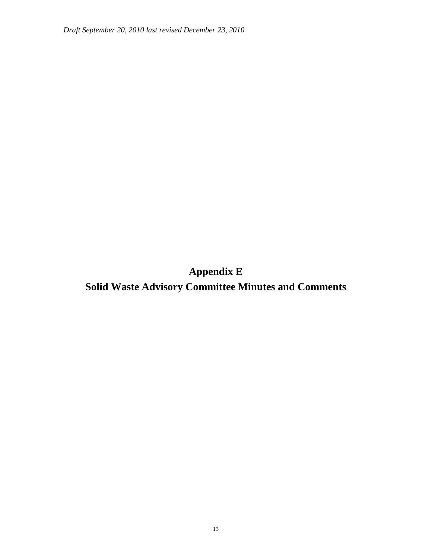**Appendix E**

**Solid Waste Advisory Committee Minutes and Comments**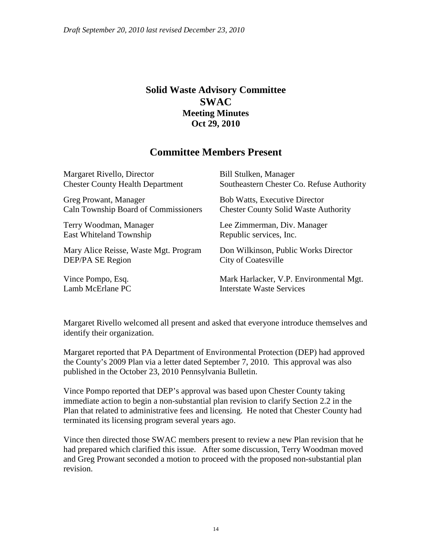#### **Solid Waste Advisory Committee SWAC Meeting Minutes Oct 29, 2010**

#### **Committee Members Present**

| Margaret Rivello, Director              | Bill Stulken, Manager                       |
|-----------------------------------------|---------------------------------------------|
| <b>Chester County Health Department</b> | Southeastern Chester Co. Refuse Authority   |
| Greg Prowant, Manager                   | <b>Bob Watts, Executive Director</b>        |
| Caln Township Board of Commissioners    | <b>Chester County Solid Waste Authority</b> |
| Terry Woodman, Manager                  | Lee Zimmerman, Div. Manager                 |
| East Whiteland Township                 | Republic services, Inc.                     |
| Mary Alice Reisse, Waste Mgt. Program   | Don Wilkinson, Public Works Director        |
| DEP/PA SE Region                        | City of Coatesville                         |
| Vince Pompo, Esq.                       | Mark Harlacker, V.P. Environmental Mgt.     |
| Lamb McErlane PC                        | <b>Interstate Waste Services</b>            |

Margaret Rivello welcomed all present and asked that everyone introduce themselves and identify their organization.

Margaret reported that PA Department of Environmental Protection (DEP) had approved the County's 2009 Plan via a letter dated September 7, 2010. This approval was also published in the October 23, 2010 Pennsylvania Bulletin.

Vince Pompo reported that DEP's approval was based upon Chester County taking immediate action to begin a non-substantial plan revision to clarify Section 2.2 in the Plan that related to administrative fees and licensing. He noted that Chester County had terminated its licensing program several years ago.

Vince then directed those SWAC members present to review a new Plan revision that he had prepared which clarified this issue. After some discussion, Terry Woodman moved and Greg Prowant seconded a motion to proceed with the proposed non-substantial plan revision.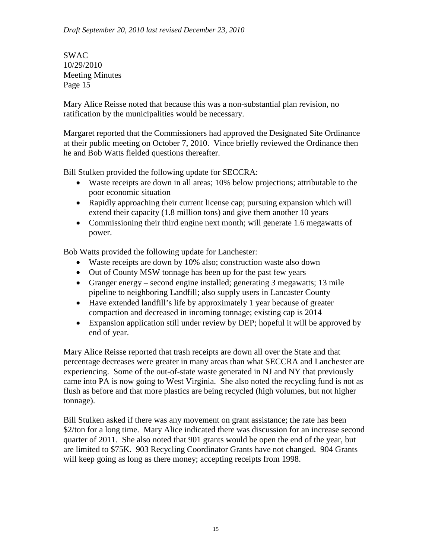SWAC 10/29/2010 Meeting Minutes Page 15

Mary Alice Reisse noted that because this was a non-substantial plan revision, no ratification by the municipalities would be necessary.

Margaret reported that the Commissioners had approved the Designated Site Ordinance at their public meeting on October 7, 2010. Vince briefly reviewed the Ordinance then he and Bob Watts fielded questions thereafter.

Bill Stulken provided the following update for SECCRA:

- Waste receipts are down in all areas; 10% below projections; attributable to the poor economic situation
- Rapidly approaching their current license cap; pursuing expansion which will extend their capacity (1.8 million tons) and give them another 10 years
- Commissioning their third engine next month; will generate 1.6 megawatts of power.

Bob Watts provided the following update for Lanchester:

- Waste receipts are down by 10% also; construction waste also down
- Out of County MSW tonnage has been up for the past few years
- Granger energy second engine installed; generating 3 megawatts; 13 mile pipeline to neighboring Landfill; also supply users in Lancaster County
- Have extended landfill's life by approximately 1 year because of greater compaction and decreased in incoming tonnage; existing cap is 2014
- Expansion application still under review by DEP; hopeful it will be approved by end of year.

Mary Alice Reisse reported that trash receipts are down all over the State and that percentage decreases were greater in many areas than what SECCRA and Lanchester are experiencing. Some of the out-of-state waste generated in NJ and NY that previously came into PA is now going to West Virginia. She also noted the recycling fund is not as flush as before and that more plastics are being recycled (high volumes, but not higher tonnage).

Bill Stulken asked if there was any movement on grant assistance; the rate has been \$2/ton for a long time. Mary Alice indicated there was discussion for an increase second quarter of 2011. She also noted that 901 grants would be open the end of the year, but are limited to \$75K. 903 Recycling Coordinator Grants have not changed. 904 Grants will keep going as long as there money; accepting receipts from 1998.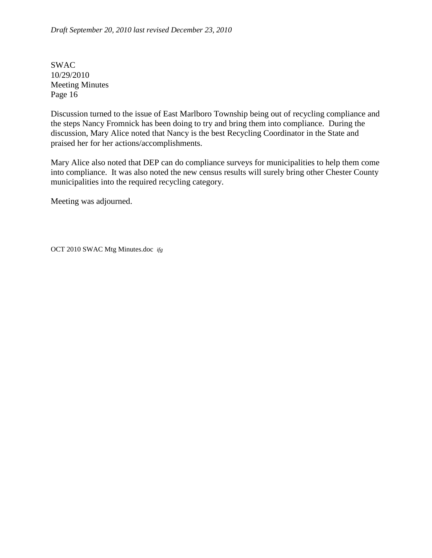SWAC 10/29/2010 Meeting Minutes Page 16

Discussion turned to the issue of East Marlboro Township being out of recycling compliance and the steps Nancy Fromnick has been doing to try and bring them into compliance. During the discussion, Mary Alice noted that Nancy is the best Recycling Coordinator in the State and praised her for her actions/accomplishments.

Mary Alice also noted that DEP can do compliance surveys for municipalities to help them come into compliance. It was also noted the new census results will surely bring other Chester County municipalities into the required recycling category.

Meeting was adjourned.

OCT 2010 SWAC Mtg Minutes.doc *ifg*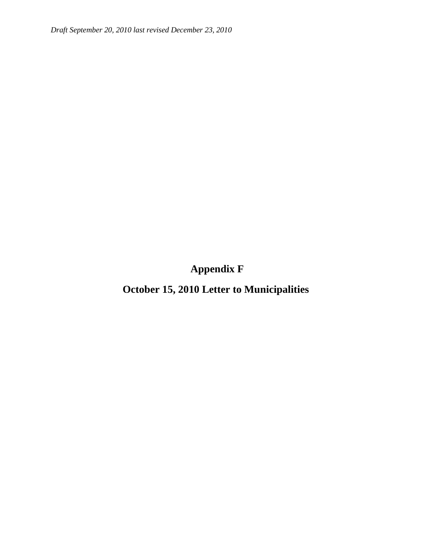**Appendix F** 

**October 15, 2010 Letter to Municipalities**